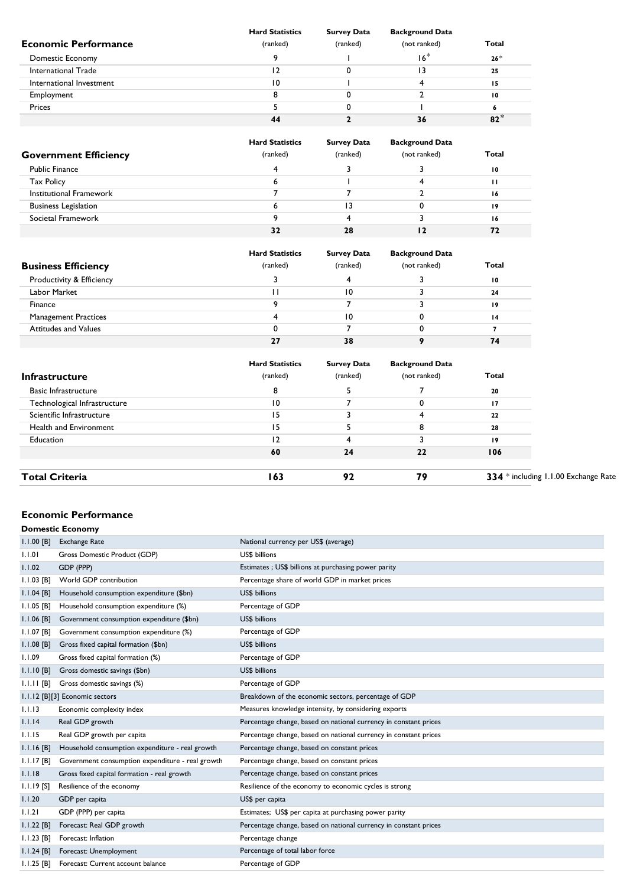|                             | <b>Hard Statistics</b> | <b>Survey Data</b> | <b>Background Data</b> |       |
|-----------------------------|------------------------|--------------------|------------------------|-------|
| <b>Economic Performance</b> | (ranked)               | (ranked)           | (not ranked)           | Total |
| Domestic Economy            |                        |                    | $16*$                  | $26*$ |
| International Trade         |                        |                    | 13                     | 25    |
| International Investment    | 10                     |                    |                        | 15    |
| Employment                  |                        |                    |                        | 10    |
| Prices                      |                        |                    |                        |       |
|                             | 44                     |                    | 36                     | $82*$ |

| <b>Government Efficiency</b> | <b>Hard Statistics</b><br>(ranked) | <b>Survey Data</b><br>(ranked) | <b>Background Data</b><br>(not ranked) | Total |
|------------------------------|------------------------------------|--------------------------------|----------------------------------------|-------|
| <b>Public Finance</b>        |                                    |                                |                                        | 10    |
| <b>Tax Policy</b>            |                                    |                                |                                        | п     |
| Institutional Framework      |                                    |                                |                                        | 16    |
| <b>Business Legislation</b>  |                                    | 3                              | υ                                      | 19    |
| Societal Framework           |                                    |                                |                                        | 16    |
|                              | 32                                 | 28                             |                                        | 72    |

| <b>Business Efficiency</b>  | <b>Hard Statistics</b><br>(ranked) | <b>Survey Data</b><br>(ranked) | <b>Background Data</b><br>(not ranked) | Total           |
|-----------------------------|------------------------------------|--------------------------------|----------------------------------------|-----------------|
| Productivity & Efficiency   |                                    |                                |                                        | 10              |
| Labor Market                |                                    | 10                             |                                        | 24              |
| Finance                     |                                    |                                |                                        | 19              |
| <b>Management Practices</b> |                                    | 10                             |                                        | $\overline{14}$ |
| <b>Attitudes and Values</b> |                                    |                                |                                        |                 |
|                             | 27                                 | 38                             |                                        | 74              |

| <b>Infrastructure</b>        | <b>Hard Statistics</b><br>(ranked) | <b>Survey Data</b><br>(ranked) | <b>Background Data</b><br>(not ranked) | Total                                |
|------------------------------|------------------------------------|--------------------------------|----------------------------------------|--------------------------------------|
| <b>Basic Infrastructure</b>  | 8                                  |                                |                                        | 20                                   |
| Technological Infrastructure | 10                                 |                                |                                        | 17                                   |
| Scientific Infrastructure    | 15                                 |                                |                                        | 22                                   |
| Health and Environment       | 15                                 |                                |                                        | 28                                   |
| Education                    | 12                                 |                                |                                        | 19                                   |
|                              | 60                                 | 24                             | 22                                     | 106                                  |
| <b>Total Criteria</b>        | 163                                | 92                             | 79                                     | 334 * including 1.1.00 Exchange Rate |

### **Economic Performance**

|              | <b>Domestic Economy</b>                          |                                                                  |
|--------------|--------------------------------------------------|------------------------------------------------------------------|
| $1.1.00$ [B] | <b>Exchange Rate</b>                             | National currency per US\$ (average)                             |
| 1.1.01       | Gross Domestic Product (GDP)                     | US\$ billions                                                    |
| 1.1.02       | GDP (PPP)                                        | Estimates; US\$ billions at purchasing power parity              |
| $1.1.03$ [B] | World GDP contribution                           | Percentage share of world GDP in market prices                   |
| $1.1.04$ [B] | Household consumption expenditure (\$bn)         | US\$ billions                                                    |
| $1.1.05$ [B] | Household consumption expenditure (%)            | Percentage of GDP                                                |
| $1.1.06$ [B] | Government consumption expenditure (\$bn)        | US\$ billions                                                    |
| $1.1.07$ [B] | Government consumption expenditure (%)           | Percentage of GDP                                                |
| $1.1.08$ [B] | Gross fixed capital formation (\$bn)             | US\$ billions                                                    |
| 1.1.09       | Gross fixed capital formation (%)                | Percentage of GDP                                                |
| $1.1.10$ [B] | Gross domestic savings (\$bn)                    | US\$ billions                                                    |
| $1.1.11$ [B] | Gross domestic savings (%)                       | Percentage of GDP                                                |
|              | 1.1.12 [B][3] Economic sectors                   | Breakdown of the economic sectors, percentage of GDP             |
| 1.1.13       | Economic complexity index                        | Measures knowledge intensity, by considering exports             |
| 1.1.14       | Real GDP growth                                  | Percentage change, based on national currency in constant prices |
| 1.1.15       | Real GDP growth per capita                       | Percentage change, based on national currency in constant prices |
| $1.1.16$ [B] | Household consumption expenditure - real growth  | Percentage change, based on constant prices                      |
| $1.1.17$ [B] | Government consumption expenditure - real growth | Percentage change, based on constant prices                      |
| 1.1.18       | Gross fixed capital formation - real growth      | Percentage change, based on constant prices                      |
| $1.1.19$ [S] | Resilience of the economy                        | Resilience of the economy to economic cycles is strong           |
| 1.1.20       | GDP per capita                                   | US\$ per capita                                                  |
| 1.1.21       | GDP (PPP) per capita                             | Estimates; US\$ per capita at purchasing power parity            |
| $1.1.22$ [B] | Forecast: Real GDP growth                        | Percentage change, based on national currency in constant prices |
| $1.1.23$ [B] | Forecast: Inflation                              | Percentage change                                                |
| $1.1.24$ [B] | Forecast: Unemployment                           | Percentage of total labor force                                  |
| $1.1.25$ [B] | Forecast: Current account balance                | Percentage of GDP                                                |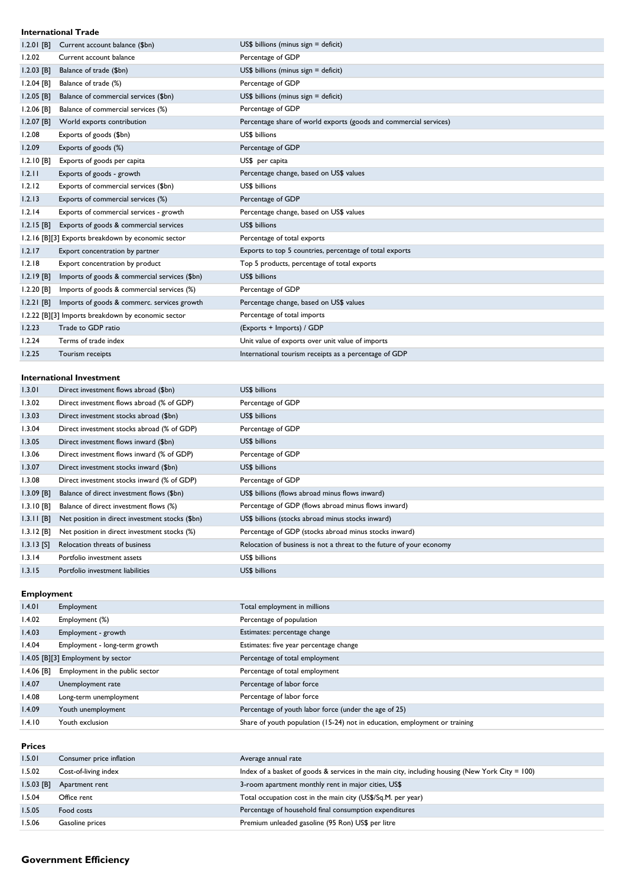### **International Trade**

| $1.2.01$ [B] | Current account balance (\$bn)                     | $US$$ billions (minus sign = deficit)                             |
|--------------|----------------------------------------------------|-------------------------------------------------------------------|
| 1.2.02       | Current account balance                            | Percentage of GDP                                                 |
| $1.2.03$ [B] | Balance of trade (\$bn)                            | $US$$ billions (minus sign = deficit)                             |
| $1.2.04$ [B] | Balance of trade (%)                               | Percentage of GDP                                                 |
| $1.2.05$ [B] | Balance of commercial services (\$bn)              | $US$$ billions (minus sign = deficit)                             |
| $1.2.06$ [B] | Balance of commercial services (%)                 | Percentage of GDP                                                 |
| $1.2.07$ [B] | World exports contribution                         | Percentage share of world exports (goods and commercial services) |
| 1.2.08       | Exports of goods (\$bn)                            | US\$ billions                                                     |
| 1.2.09       | Exports of goods (%)                               | Percentage of GDP                                                 |
| 1.2.10 [B]   | Exports of goods per capita                        | US\$ per capita                                                   |
| 1.2.11       | Exports of goods - growth                          | Percentage change, based on US\$ values                           |
| 1.2.12       | Exports of commercial services (\$bn)              | US\$ billions                                                     |
| 1.2.13       | Exports of commercial services (%)                 | Percentage of GDP                                                 |
| 1.2.14       | Exports of commercial services - growth            | Percentage change, based on US\$ values                           |
| $1.2.15$ [B] | Exports of goods & commercial services             | US\$ billions                                                     |
|              | 1.2.16 [B][3] Exports breakdown by economic sector | Percentage of total exports                                       |
| 1.2.17       | Export concentration by partner                    | Exports to top 5 countries, percentage of total exports           |
| 1.2.18       | Export concentration by product                    | Top 5 products, percentage of total exports                       |
| $1.2.19$ [B] | Imports of goods & commercial services (\$bn)      | US\$ billions                                                     |
| $1.2.20$ [B] | Imports of goods & commercial services (%)         | Percentage of GDP                                                 |
| $1.2.21$ [B] | Imports of goods & commerc. services growth        | Percentage change, based on US\$ values                           |
|              | 1.2.22 [B][3] Imports breakdown by economic sector | Percentage of total imports                                       |
| 1.2.23       | Trade to GDP ratio                                 | (Exports + Imports) / GDP                                         |
| 1.2.24       | Terms of trade index                               | Unit value of exports over unit value of imports                  |
| 1.2.25       | Tourism receipts                                   | International tourism receipts as a percentage of GDP             |

#### **International Investment**

| 1.3.01       | Direct investment flows abroad (\$bn)           | US\$ billions                                                        |
|--------------|-------------------------------------------------|----------------------------------------------------------------------|
| 1.3.02       | Direct investment flows abroad (% of GDP)       | Percentage of GDP                                                    |
| 1.3.03       | Direct investment stocks abroad (\$bn)          | US\$ billions                                                        |
| 1.3.04       | Direct investment stocks abroad (% of GDP)      | Percentage of GDP                                                    |
| 1.3.05       | Direct investment flows inward (\$bn)           | US\$ billions                                                        |
| 1.3.06       | Direct investment flows inward (% of GDP)       | Percentage of GDP                                                    |
| 1.3.07       | Direct investment stocks inward (\$bn)          | US\$ billions                                                        |
| 1.3.08       | Direct investment stocks inward (% of GDP)      | Percentage of GDP                                                    |
| $1.3.09$ [B] | Balance of direct investment flows (\$bn)       | US\$ billions (flows abroad minus flows inward)                      |
| $1.3.10$ [B] | Balance of direct investment flows (%)          | Percentage of GDP (flows abroad minus flows inward)                  |
| $1.3.11$ [B] | Net position in direct investment stocks (\$bn) | US\$ billions (stocks abroad minus stocks inward)                    |
| $1.3.12$ [B] | Net position in direct investment stocks (%)    | Percentage of GDP (stocks abroad minus stocks inward)                |
| $1.3.13$ [S] | Relocation threats of business                  | Relocation of business is not a threat to the future of your economy |
| 1.3.14       | Portfolio investment assets                     | US\$ billions                                                        |
| 1.3.15       | Portfolio investment liabilities                | US\$ billions                                                        |

## **Employment**

| 1.4.01     | Employment                         | Total employment in millions                                               |
|------------|------------------------------------|----------------------------------------------------------------------------|
| 1.4.02     | Employment (%)                     | Percentage of population                                                   |
| 1.4.03     | Employment - growth                | Estimates: percentage change                                               |
| 1.4.04     | Employment - long-term growth      | Estimates: five year percentage change                                     |
|            | 1.4.05 [B][3] Employment by sector | Percentage of total employment                                             |
| I.4.06 [B] | Employment in the public sector    | Percentage of total employment                                             |
| 1.4.07     | Unemployment rate                  | Percentage of labor force                                                  |
| l.4.08     | Long-term unemployment             | Percentage of labor force                                                  |
| 1.4.09     | Youth unemployment                 | Percentage of youth labor force (under the age of 25)                      |
| 1.4.10     | Youth exclusion                    | Share of youth population (15-24) not in education, employment or training |
|            |                                    |                                                                            |

| <b>Prices</b> |                          |                                                                                                 |
|---------------|--------------------------|-------------------------------------------------------------------------------------------------|
| 1.5.01        | Consumer price inflation | Average annual rate                                                                             |
| 1.5.02        | Cost-of-living index     | Index of a basket of goods & services in the main city, including housing (New York City = 100) |
| $1.5.03$ [B]  | Apartment rent           | 3-room apartment monthly rent in major cities, US\$                                             |
| 1.5.04        | Office rent              | Total occupation cost in the main city (US\$/Sq.M. per year)                                    |
| 1.5.05        | Food costs               | Percentage of household final consumption expenditures                                          |
| 1.5.06        | Gasoline prices          | Premium unleaded gasoline (95 Ron) US\$ per litre                                               |

# **Government Efficiency**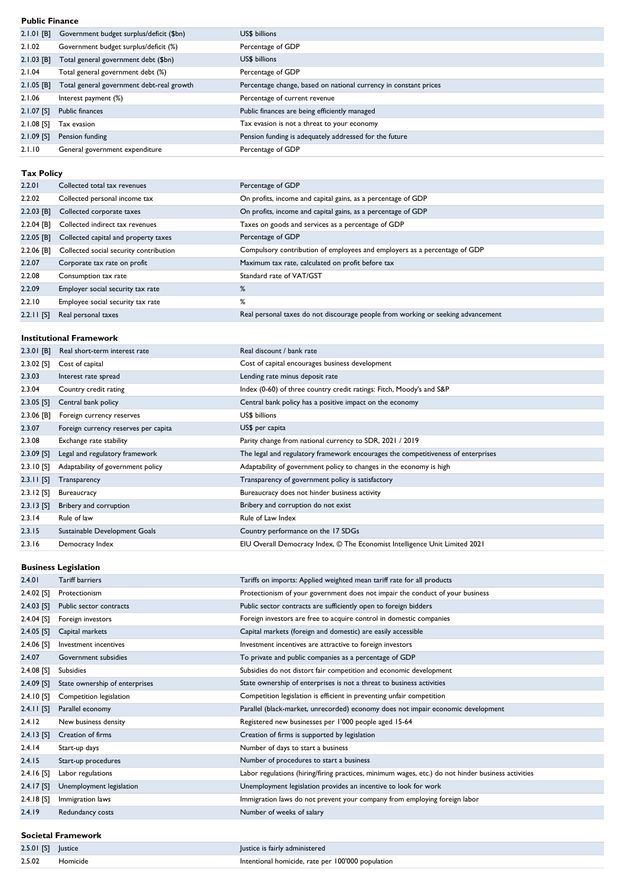#### **Public Finance**

| 2.1.01 [B]   | Government budget surplus/deficit (\$bn)  | US\$ billions                                                    |
|--------------|-------------------------------------------|------------------------------------------------------------------|
| 2.1.02       | Government budget surplus/deficit (%)     | Percentage of GDP                                                |
| $2.1.03$ [B] | Total general government debt (\$bn)      | <b>US\$</b> billions                                             |
| 2.1.04       | Total general government debt (%)         | Percentage of GDP                                                |
| $2.1.05$ [B] | Total general government debt-real growth | Percentage change, based on national currency in constant prices |
| 2.1.06       | Interest payment (%)                      | Percentage of current revenue                                    |
| 2.1.07 [S]   | Public finances                           | Public finances are being efficiently managed                    |
| 2.1.08 [S]   | Tax evasion                               | Tax evasion is not a threat to your economy                      |
| $2.1.09$ [S] | Pension funding                           | Pension funding is adequately addressed for the future           |
| 2.1.10       | General government expenditure            | Percentage of GDP                                                |
|              |                                           |                                                                  |

# **Tax Policy**

| 2.2.01       | Collected total tax revenues           | Percentage of GDP                                                                |
|--------------|----------------------------------------|----------------------------------------------------------------------------------|
| 2.2.02       | Collected personal income tax          | On profits, income and capital gains, as a percentage of GDP                     |
| $2.2.03$ [B] | Collected corporate taxes              | On profits, income and capital gains, as a percentage of GDP                     |
| $2.2.04$ [B] | Collected indirect tax revenues        | Taxes on goods and services as a percentage of GDP                               |
| $2.2.05$ [B] | Collected capital and property taxes   | Percentage of GDP                                                                |
| 2.2.06 [B]   | Collected social security contribution | Compulsory contribution of employees and employers as a percentage of GDP        |
| 2.2.07       | Corporate tax rate on profit           | Maximum tax rate, calculated on profit before tax                                |
| 2.2.08       | Consumption tax rate                   | Standard rate of VAT/GST                                                         |
| 2.2.09       | Employer social security tax rate      | %                                                                                |
| 2.2.10       | Employee social security tax rate      | ℅                                                                                |
| $2.2.11$ [S] | Real personal taxes                    | Real personal taxes do not discourage people from working or seeking advancement |

### **Institutional Framework**

| $2.3.01$ [B] | Real short-term interest rate        | Real discount / bank rate                                                        |
|--------------|--------------------------------------|----------------------------------------------------------------------------------|
| $2.3.02$ [S] | Cost of capital                      | Cost of capital encourages business development                                  |
| 2.3.03       | Interest rate spread                 | Lending rate minus deposit rate                                                  |
| 2.3.04       | Country credit rating                | Index (0-60) of three country credit ratings: Fitch, Moody's and S&P             |
| $2.3.05$ [S] | Central bank policy                  | Central bank policy has a positive impact on the economy                         |
| $2.3.06$ [B] | Foreign currency reserves            | US\$ billions                                                                    |
| 2.3.07       | Foreign currency reserves per capita | US\$ per capita                                                                  |
| 2.3.08       | Exchange rate stability              | Parity change from national currency to SDR, 2021 / 2019                         |
| $2.3.09$ [S] | Legal and regulatory framework       | The legal and regulatory framework encourages the competitiveness of enterprises |
| $2.3.10$ [S] | Adaptability of government policy    | Adaptability of government policy to changes in the economy is high              |
| $2.3.11$ [S] | Transparency                         | Transparency of government policy is satisfactory                                |
| $2.3.12$ [S] | Bureaucracy                          | Bureaucracy does not hinder business activity                                    |
| $2.3.13$ [S] | Bribery and corruption               | Bribery and corruption do not exist                                              |
| 2.3.14       | Rule of law                          | Rule of Law Index                                                                |
| 2.3.15       | Sustainable Development Goals        | Country performance on the 17 SDGs                                               |
| 2.3.16       | Democracy Index                      | EIU Overall Democracy Index, © The Economist Intelligence Unit Limited 2021      |
|              |                                      |                                                                                  |

### **Business Legislation**

| 2.4.01                    | <b>Tariff barriers</b>         | Tariffs on imports: Applied weighted mean tariff rate for all products                             |
|---------------------------|--------------------------------|----------------------------------------------------------------------------------------------------|
| $2.4.02$ [S]              | Protectionism                  | Protectionism of your government does not impair the conduct of your business                      |
| $2.4.03$ [S]              | Public sector contracts        | Public sector contracts are sufficiently open to foreign bidders                                   |
| $2.4.04$ [S]              | Foreign investors              | Foreign investors are free to acquire control in domestic companies                                |
| $2.4.05$ [S]              | Capital markets                | Capital markets (foreign and domestic) are easily accessible                                       |
| 2.4.06 [S]                | Investment incentives          | Investment incentives are attractive to foreign investors                                          |
| 2.4.07                    | Government subsidies           | To private and public companies as a percentage of GDP                                             |
| $2.4.08$ [S]              | Subsidies                      | Subsidies do not distort fair competition and economic development                                 |
| $2.4.09$ [S]              | State ownership of enterprises | State ownership of enterprises is not a threat to business activities                              |
| $2.4.10$ [S]              | Competition legislation        | Competition legislation is efficient in preventing unfair competition                              |
| $2.4.11$ [S]              | Parallel economy               | Parallel (black-market, unrecorded) economy does not impair economic development                   |
| 2.4.12                    | New business density           | Registered new businesses per 1'000 people aged 15-64                                              |
| $2.4.13$ [S]              | Creation of firms              | Creation of firms is supported by legislation                                                      |
| 2.4.14                    | Start-up days                  | Number of days to start a business                                                                 |
| 2.4.15                    | Start-up procedures            | Number of procedures to start a business                                                           |
| $2.4.16$ [S]              | Labor regulations              | Labor regulations (hiring/firing practices, minimum wages, etc.) do not hinder business activities |
| $2.4.17$ [S]              | Unemployment legislation       | Unemployment legislation provides an incentive to look for work                                    |
| $2.4.18$ [S]              | Immigration laws               | Immigration laws do not prevent your company from employing foreign labor                          |
| 2.4.19                    | Redundancy costs               | Number of weeks of salary                                                                          |
| <b>Societal Framework</b> |                                |                                                                                                    |
|                           |                                |                                                                                                    |

```
2.5.01 [S] Justice Justice Justice is fairly administered
2.5.02 Homicide Intentional homicide, rate per 100'000 population
```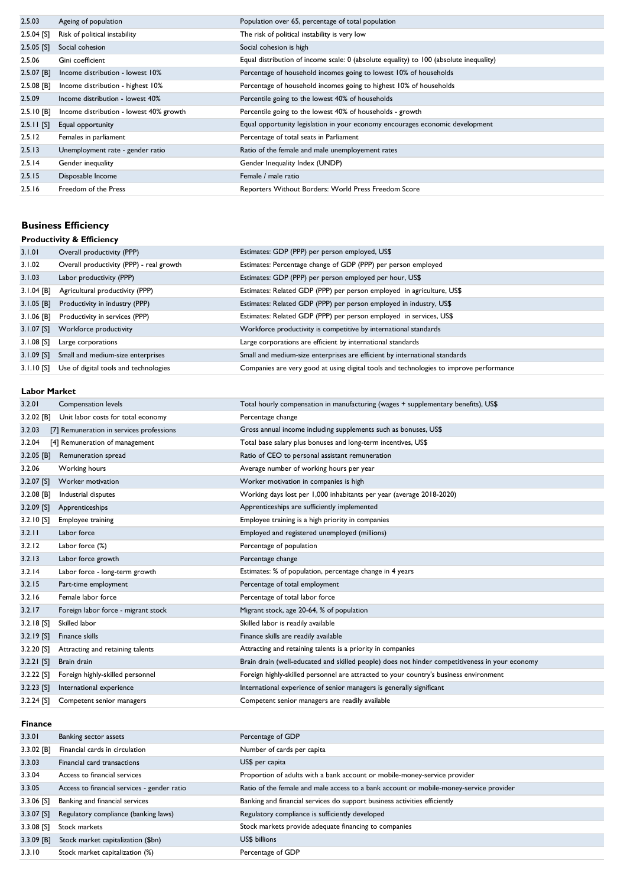| 2.5.03       | Ageing of population                    | Population over 65, percentage of total population                                     |
|--------------|-----------------------------------------|----------------------------------------------------------------------------------------|
| $2.5.04$ [S] | Risk of political instability           | The risk of political instability is very low                                          |
| $2.5.05$ [S] | Social cohesion                         | Social cohesion is high                                                                |
| 2.5.06       | Gini coefficient                        | Equal distribution of income scale: 0 (absolute equality) to 100 (absolute inequality) |
| $2.5.07$ [B] | Income distribution - lowest 10%        | Percentage of household incomes going to lowest 10% of households                      |
| $2.5.08$ [B] | Income distribution - highest 10%       | Percentage of household incomes going to highest 10% of households                     |
| 2.5.09       | Income distribution - lowest 40%        | Percentile going to the lowest 40% of households                                       |
| $2.5.10$ [B] | Income distribution - lowest 40% growth | Percentile going to the lowest 40% of households - growth                              |
| $2.5.11$ [S] | Equal opportunity                       | Equal opportunity legislation in your economy encourages economic development          |
| 2.5.12       | Females in parliament                   | Percentage of total seats in Parliament                                                |
| 2.5.13       | Unemployment rate - gender ratio        | Ratio of the female and male unemployement rates                                       |
| 2.5.14       | Gender inequality                       | Gender Inequality Index (UNDP)                                                         |
| 2.5.15       | Disposable Income                       | Female / male ratio                                                                    |
| 2.5.16       | Freedom of the Press                    | Reporters Without Borders: World Press Freedom Score                                   |
|              |                                         |                                                                                        |

# **Business Efficiency**

| <b>Productivity &amp; Efficiency</b> |                                          |                                                                                        |
|--------------------------------------|------------------------------------------|----------------------------------------------------------------------------------------|
| 3.1.01                               | Overall productivity (PPP)               | Estimates: GDP (PPP) per person employed, US\$                                         |
| 3.1.02                               | Overall productivity (PPP) - real growth | Estimates: Percentage change of GDP (PPP) per person employed                          |
| 3.1.03                               | Labor productivity (PPP)                 | Estimates: GDP (PPP) per person employed per hour, US\$                                |
| $3.1.04$ [B]                         | Agricultural productivity (PPP)          | Estimates: Related GDP (PPP) per person employed in agriculture, US\$                  |
| $3.1.05$ [B]                         | Productivity in industry (PPP)           | Estimates: Related GDP (PPP) per person employed in industry, US\$                     |
| $3.1.06$ [B]                         | Productivity in services (PPP)           | Estimates: Related GDP (PPP) per person employed in services, US\$                     |
| $3.1.07$ [S]                         | Workforce productivity                   | Workforce productivity is competitive by international standards                       |
| $3.1.08$ [S]                         | Large corporations                       | Large corporations are efficient by international standards                            |
| $3.1.09$ [S]                         | Small and medium-size enterprises        | Small and medium-size enterprises are efficient by international standards             |
| 3. I . I 0 [S]                       | Use of digital tools and technologies    | Companies are very good at using digital tools and technologies to improve performance |

# **Labor Market**

| 3.2.01       | Compensation levels                      | Total hourly compensation in manufacturing (wages + supplementary benefits), US\$              |
|--------------|------------------------------------------|------------------------------------------------------------------------------------------------|
| $3.2.02$ [B] | Unit labor costs for total economy       | Percentage change                                                                              |
| 3.2.03       | [7] Remuneration in services professions | Gross annual income including supplements such as bonuses, US\$                                |
| 3.2.04       | [4] Remuneration of management           | Total base salary plus bonuses and long-term incentives, US\$                                  |
| 3.2.05 [B]   | Remuneration spread                      | Ratio of CEO to personal assistant remuneration                                                |
| 3.2.06       | Working hours                            | Average number of working hours per year                                                       |
| $3.2.07$ [S] | Worker motivation                        | Worker motivation in companies is high                                                         |
| $3.2.08$ [B] | Industrial disputes                      | Working days lost per 1,000 inhabitants per year (average 2018-2020)                           |
| $3.2.09$ [S] | Apprenticeships                          | Apprenticeships are sufficiently implemented                                                   |
| 3.2.10 [S]   | Employee training                        | Employee training is a high priority in companies                                              |
| 3.2.11       | Labor force                              | Employed and registered unemployed (millions)                                                  |
| 3.2.12       | Labor force (%)                          | Percentage of population                                                                       |
| 3.2.13       | Labor force growth                       | Percentage change                                                                              |
| 3.2.14       | Labor force - long-term growth           | Estimates: % of population, percentage change in 4 years                                       |
| 3.2.15       | Part-time employment                     | Percentage of total employment                                                                 |
| 3.2.16       | Female labor force                       | Percentage of total labor force                                                                |
| 3.2.17       | Foreign labor force - migrant stock      | Migrant stock, age 20-64, % of population                                                      |
| $3.2.18$ [S] | Skilled labor                            | Skilled labor is readily available                                                             |
| $3.2.19$ [S] | Finance skills                           | Finance skills are readily available                                                           |
| 3.2.20 [S]   | Attracting and retaining talents         | Attracting and retaining talents is a priority in companies                                    |
| $3.2.21$ [S] | Brain drain                              | Brain drain (well-educated and skilled people) does not hinder competitiveness in your economy |
| $3.2.22$ [S] | Foreign highly-skilled personnel         | Foreign highly-skilled personnel are attracted to your country's business environment          |
| $3.2.23$ [S] | International experience                 | International experience of senior managers is generally significant                           |
| $3.2.24$ [S] | Competent senior managers                | Competent senior managers are readily available                                                |

### **Finance**

| 3.3.01       | Banking sector assets                       | Percentage of GDP                                                                      |
|--------------|---------------------------------------------|----------------------------------------------------------------------------------------|
| $3.3.02$ [B] | Financial cards in circulation              | Number of cards per capita                                                             |
| 3.3.03       | Financial card transactions                 | US\$ per capita                                                                        |
| 3.3.04       | Access to financial services                | Proportion of adults with a bank account or mobile-money-service provider              |
| 3.3.05       | Access to financial services - gender ratio | Ratio of the female and male access to a bank account or mobile-money-service provider |
| $3.3.06$ [S] | Banking and financial services              | Banking and financial services do support business activities efficiently              |
| 3.3.07 [S]   | Regulatory compliance (banking laws)        | Regulatory compliance is sufficiently developed                                        |
| $3.3.08$ [S] | Stock markets                               | Stock markets provide adequate financing to companies                                  |
| $3.3.09$ [B] | Stock market capitalization (\$bn)          | US\$ billions                                                                          |
| 3.3.10       | Stock market capitalization (%)             | Percentage of GDP                                                                      |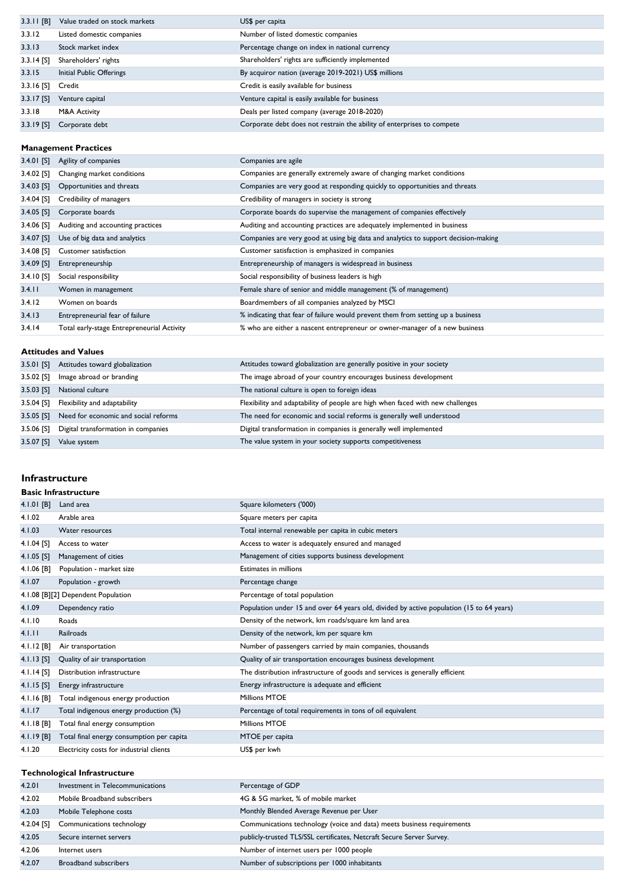| $3.3.11$ [B] | Value traded on stock markets | US\$ per capita                                                        |
|--------------|-------------------------------|------------------------------------------------------------------------|
| 3.3.12       | Listed domestic companies     | Number of listed domestic companies                                    |
| 3.3.13       | Stock market index            | Percentage change on index in national currency                        |
| $3.3.14$ [S] | Shareholders' rights          | Shareholders' rights are sufficiently implemented                      |
| 3.3.15       | Initial Public Offerings      | By acquiror nation (average 2019-2021) US\$ millions                   |
| $3.3.16$ [S] | Credit                        | Credit is easily available for business                                |
| $3.3.17$ [S] | Venture capital               | Venture capital is easily available for business                       |
| 3.3.18       | M&A Activity                  | Deals per listed company (average 2018-2020)                           |
| 3.3.19 [S]   | Corporate debt                | Corporate debt does not restrain the ability of enterprises to compete |

#### **Management Practices**

| $3.4.01$ [S] | Agility of companies                       | Companies are agile                                                                |
|--------------|--------------------------------------------|------------------------------------------------------------------------------------|
| 3.4.02 [S]   | Changing market conditions                 | Companies are generally extremely aware of changing market conditions              |
| $3.4.03$ [S] | Opportunities and threats                  | Companies are very good at responding quickly to opportunities and threats         |
| $3.4.04$ [S] | Credibility of managers                    | Credibility of managers in society is strong                                       |
| $3.4.05$ [S] | Corporate boards                           | Corporate boards do supervise the management of companies effectively              |
| $3.4.06$ [S] | Auditing and accounting practices          | Auditing and accounting practices are adequately implemented in business           |
| $3.4.07$ [S] | Use of big data and analytics              | Companies are very good at using big data and analytics to support decision-making |
| $3.4.08$ [S] | Customer satisfaction                      | Customer satisfaction is emphasized in companies                                   |
| $3.4.09$ [S] | Entrepreneurship                           | Entrepreneurship of managers is widespread in business                             |
| $3.4.10$ [S] | Social responsibility                      | Social responsibility of business leaders is high                                  |
| 3.4.11       | Women in management                        | Female share of senior and middle management (% of management)                     |
| 3.4.12       | Women on boards                            | Boardmembers of all companies analyzed by MSCI                                     |
| 3.4.13       | Entrepreneurial fear of failure            | % indicating that fear of failure would prevent them from setting up a business    |
| 3.4.14       | Total early-stage Entrepreneurial Activity | % who are either a nascent entrepreneur or owner-manager of a new business         |

### **Attitudes and Values**

| 3.5.01 [S]   | Attitudes toward globalization       | Attitudes toward globalization are generally positive in your society          |
|--------------|--------------------------------------|--------------------------------------------------------------------------------|
| 3.5.02 [S]   | Image abroad or branding             | The image abroad of your country encourages business development               |
| $3.5.03$ [S] | National culture                     | The national culture is open to foreign ideas                                  |
| 3.5.04 [S]   | Flexibility and adaptability         | Flexibility and adaptability of people are high when faced with new challenges |
| $3.5.05$ [S] | Need for economic and social reforms | The need for economic and social reforms is generally well understood          |
| 3.5.06 [S]   | Digital transformation in companies  | Digital transformation in companies is generally well implemented              |
| $3.5.07$ [S] | Value system                         | The value system in your society supports competitiveness                      |

## **Infrastructure**

### **Basic Infrastructure**

| $4.1.01$ [B] | Land area                                 | Square kilometers ('000)                                                                 |
|--------------|-------------------------------------------|------------------------------------------------------------------------------------------|
| 4.1.02       | Arable area                               | Square meters per capita                                                                 |
| 4.1.03       | Water resources                           | Total internal renewable per capita in cubic meters                                      |
| 4.1.04 [S]   | Access to water                           | Access to water is adequately ensured and managed                                        |
| $4.1.05$ [S] | Management of cities                      | Management of cities supports business development                                       |
| 4.1.06 [B]   | Population - market size                  | Estimates in millions                                                                    |
| 4.1.07       | Population - growth                       | Percentage change                                                                        |
|              | 4.1.08 [B][2] Dependent Population        | Percentage of total population                                                           |
| 4.1.09       | Dependency ratio                          | Population under 15 and over 64 years old, divided by active population (15 to 64 years) |
| 4.1.10       | Roads                                     | Density of the network, km roads/square km land area                                     |
| 4.1.11       | Railroads                                 | Density of the network, km per square km                                                 |
| $4.1.12$ [B] | Air transportation                        | Number of passengers carried by main companies, thousands                                |
| $4.1.13$ [S] | Quality of air transportation             | Quality of air transportation encourages business development                            |
| 4.1.14 [S]   | Distribution infrastructure               | The distribution infrastructure of goods and services is generally efficient             |
| $4.1.15$ [S] | Energy infrastructure                     | Energy infrastructure is adequate and efficient                                          |
| 4.1.16 [B]   | Total indigenous energy production        | <b>Millions MTOE</b>                                                                     |
| 4.1.17       | Total indigenous energy production (%)    | Percentage of total requirements in tons of oil equivalent                               |
| $4.1.18$ [B] | Total final energy consumption            | <b>Millions MTOE</b>                                                                     |
| $4.1.19$ [B] | Total final energy consumption per capita | MTOE per capita                                                                          |
| 4.1.20       | Electricity costs for industrial clients  | US\$ per kwh                                                                             |
|              |                                           |                                                                                          |
|              | <b>Technological Infrastructure</b>       |                                                                                          |

| 4.2.01     | Investment in Telecommunications | Percentage of GDP                                                      |
|------------|----------------------------------|------------------------------------------------------------------------|
| 4.2.02     | Mobile Broadband subscribers     | 4G & 5G market, % of mobile market                                     |
| 4.2.03     | Mobile Telephone costs           | Monthly Blended Average Revenue per User                               |
| 4.2.04 [S] | Communications technology        | Communications technology (voice and data) meets business requirements |
| 4.2.05     | Secure internet servers          | publicly-trusted TLS/SSL certificates, Netcraft Secure Server Survey.  |
| 4.2.06     | Internet users                   | Number of internet users per 1000 people                               |
| 4.2.07     | Broadband subscribers            | Number of subscriptions per 1000 inhabitants                           |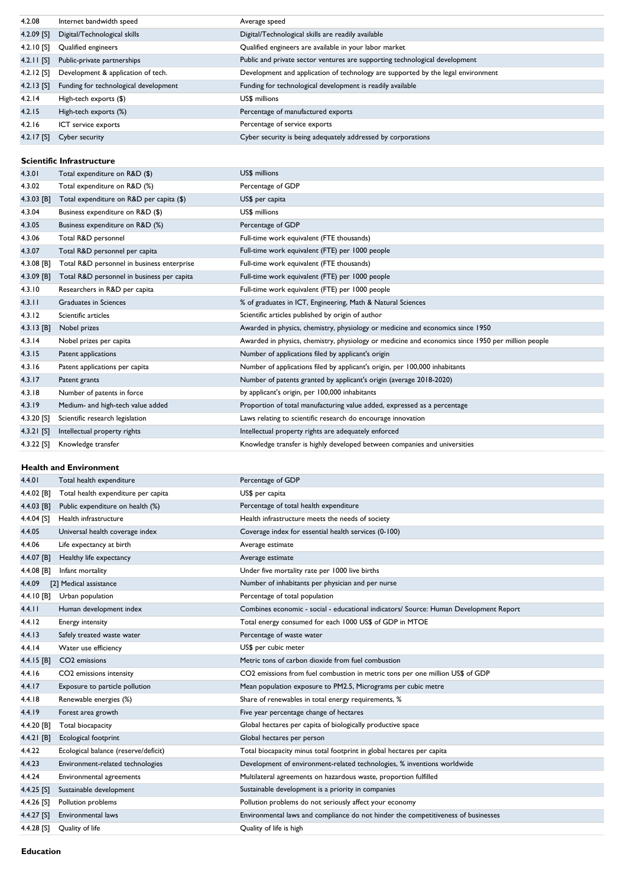| 4.2.08       | Internet bandwidth speed              | Average speed                                                                    |
|--------------|---------------------------------------|----------------------------------------------------------------------------------|
| $4.2.09$ [S] | Digital/Technological skills          | Digital/Technological skills are readily available                               |
| $4.2.10$ [S] | Qualified engineers                   | Qualified engineers are available in your labor market                           |
| $4.2.11$ [S] | Public-private partnerships           | Public and private sector ventures are supporting technological development      |
| $4.2.12$ [S] | Development & application of tech.    | Development and application of technology are supported by the legal environment |
| $4.2.13$ [S] | Funding for technological development | Funding for technological development is readily available                       |
| 4.2.14       | High-tech exports (\$)                | US\$ millions                                                                    |
| 4.2.15       | High-tech exports (%)                 | Percentage of manufactured exports                                               |
| 4.2.16       | ICT service exports                   | Percentage of service exports                                                    |
| $4.2.17$ [S] | Cyber security                        | Cyber security is being adequately addressed by corporations                     |

## **Scientific Infrastructure**

| 4.3.01       | Total expenditure on R&D (\$)              | US\$ millions                                                                                     |
|--------------|--------------------------------------------|---------------------------------------------------------------------------------------------------|
| 4.3.02       | Total expenditure on R&D (%)               | Percentage of GDP                                                                                 |
| 4.3.03 [B]   | Total expenditure on R&D per capita (\$)   | US\$ per capita                                                                                   |
| 4.3.04       | Business expenditure on R&D (\$)           | US\$ millions                                                                                     |
| 4.3.05       | Business expenditure on R&D (%)            | Percentage of GDP                                                                                 |
| 4.3.06       | Total R&D personnel                        | Full-time work equivalent (FTE thousands)                                                         |
| 4.3.07       | Total R&D personnel per capita             | Full-time work equivalent (FTE) per 1000 people                                                   |
| 4.3.08 [B]   | Total R&D personnel in business enterprise | Full-time work equivalent (FTE thousands)                                                         |
| 4.3.09 [B]   | Total R&D personnel in business per capita | Full-time work equivalent (FTE) per 1000 people                                                   |
| 4.3.10       | Researchers in R&D per capita              | Full-time work equivalent (FTE) per 1000 people                                                   |
| 4.3.11       | Graduates in Sciences                      | % of graduates in ICT, Engineering, Math & Natural Sciences                                       |
| 4.3.12       | Scientific articles                        | Scientific articles published by origin of author                                                 |
| $4.3.13$ [B] | Nobel prizes                               | Awarded in physics, chemistry, physiology or medicine and economics since 1950                    |
| 4.3.14       | Nobel prizes per capita                    | Awarded in physics, chemistry, physiology or medicine and economics since 1950 per million people |
| 4.3.15       | Patent applications                        | Number of applications filed by applicant's origin                                                |
| 4.3.16       | Patent applications per capita             | Number of applications filed by applicant's origin, per 100,000 inhabitants                       |
| 4.3.17       | Patent grants                              | Number of patents granted by applicant's origin (average 2018-2020)                               |
| 4.3.18       | Number of patents in force                 | by applicant's origin, per 100,000 inhabitants                                                    |
| 4.3.19       | Medium- and high-tech value added          | Proportion of total manufacturing value added, expressed as a percentage                          |
| 4.3.20 [S]   | Scientific research legislation            | Laws relating to scientific research do encourage innovation                                      |
| 4.3.21 [S]   | Intellectual property rights               | Intellectual property rights are adequately enforced                                              |
| 4.3.22 [S]   | Knowledge transfer                         | Knowledge transfer is highly developed between companies and universities                         |

### **Health and Environment**

| 4.4.01       | Total health expenditure             | Percentage of GDP                                                                     |
|--------------|--------------------------------------|---------------------------------------------------------------------------------------|
| 4.4.02 [B]   | Total health expenditure per capita  | US\$ per capita                                                                       |
| 4.4.03 [B]   | Public expenditure on health (%)     | Percentage of total health expenditure                                                |
| 4.4.04 [S]   | Health infrastructure                | Health infrastructure meets the needs of society                                      |
| 4.4.05       | Universal health coverage index      | Coverage index for essential health services (0-100)                                  |
| 4.4.06       | Life expectancy at birth             | Average estimate                                                                      |
| 4.4.07 [B]   | Healthy life expectancy              | Average estimate                                                                      |
| 4.4.08 [B]   | Infant mortality                     | Under five mortality rate per 1000 live births                                        |
| 4.4.09       | [2] Medical assistance               | Number of inhabitants per physician and per nurse                                     |
| 4.4.10 [B]   | Urban population                     | Percentage of total population                                                        |
| 4.4.11       | Human development index              | Combines economic - social - educational indicators/ Source: Human Development Report |
| 4.4.12       | <b>Energy intensity</b>              | Total energy consumed for each 1000 US\$ of GDP in MTOE                               |
| 4.4.13       | Safely treated waste water           | Percentage of waste water                                                             |
| 4.4.14       | Water use efficiency                 | US\$ per cubic meter                                                                  |
| 4.4.15 [B]   | CO <sub>2</sub> emissions            | Metric tons of carbon dioxide from fuel combustion                                    |
| 4.4.16       | CO2 emissions intensity              | CO2 emissions from fuel combustion in metric tons per one million US\$ of GDP         |
| 4.4.17       | Exposure to particle pollution       | Mean population exposure to PM2.5, Micrograms per cubic metre                         |
| 4.4.18       | Renewable energies (%)               | Share of renewables in total energy requirements, %                                   |
| 4.4.19       | Forest area growth                   | Five year percentage change of hectares                                               |
| 4.4.20 [B]   | Total biocapacity                    | Global hectares per capita of biologically productive space                           |
| $4.4.21$ [B] | Ecological footprint                 | Global hectares per person                                                            |
| 4.4.22       | Ecological balance (reserve/deficit) | Total biocapacity minus total footprint in global hectares per capita                 |
| 4.4.23       | Environment-related technologies     | Development of environment-related technologies, % inventions worldwide               |
| 4.4.24       | Environmental agreements             | Multilateral agreements on hazardous waste, proportion fulfilled                      |
| $4.4.25$ [S] | Sustainable development              | Sustainable development is a priority in companies                                    |
| 4.4.26 [S]   | Pollution problems                   | Pollution problems do not seriously affect your economy                               |
| 4.4.27 [S]   | Environmental laws                   | Environmental laws and compliance do not hinder the competitiveness of businesses     |
| 4.4.28 [S]   | Quality of life                      | Quality of life is high                                                               |